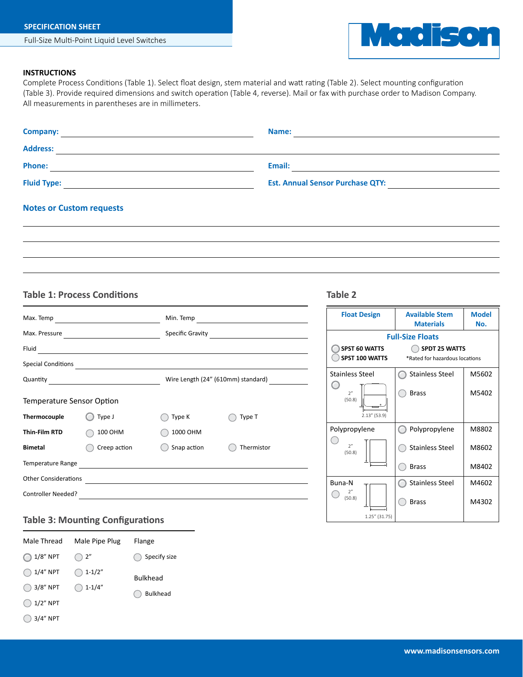

## **INSTRUCTIONS**

Complete Process Conditions (Table 1). Select float design, stem material and watt rating (Table 2). Select mounting configuration (Table 3). Provide required dimensions and switch operation (Table 4, reverse). Mail or fax with purchase order to Madison Company. All measurements in parentheses are in millimeters.

| Company:<br>the control of the control of the control of the control of the control of the control of | Name:                                   |  |
|-------------------------------------------------------------------------------------------------------|-----------------------------------------|--|
| <b>Address:</b>                                                                                       |                                         |  |
| <b>Phone:</b>                                                                                         | Email:                                  |  |
| <b>Fluid Type:</b>                                                                                    | <b>Est. Annual Sensor Purchase QTY:</b> |  |
|                                                                                                       |                                         |  |

## **Notes or Custom requests**

## **Table 1: Process Conditions Table 2**

| Max. Temp                   | <u> 1980 - Johann Barn, mars ann an t-Amhair an t-A</u>                                                                                                                                                                       | Min. Temp                                                                                                            |            |
|-----------------------------|-------------------------------------------------------------------------------------------------------------------------------------------------------------------------------------------------------------------------------|----------------------------------------------------------------------------------------------------------------------|------------|
| Max. Pressure               | <u> 1980 - Johann Barbara, martxa alemani</u> ar a                                                                                                                                                                            | Specific Gravity                                                                                                     |            |
| Fluid                       | the control of the control of the control of the control of the control of the control of                                                                                                                                     |                                                                                                                      |            |
| <b>Special Conditions</b>   | the control of the control of the control of the control of the control of the control of the control of the control of the control of the control of the control of the control of the control of the control of the control |                                                                                                                      |            |
| Quantity                    |                                                                                                                                                                                                                               | Wire Length (24" (610mm) standard)                                                                                   |            |
| Temperature Sensor Option   |                                                                                                                                                                                                                               |                                                                                                                      |            |
| Thermocouple                | Type J                                                                                                                                                                                                                        | Type K                                                                                                               | Type T     |
| <b>Thin Film RTD</b>        | 100 OHM                                                                                                                                                                                                                       | 1000 OHM                                                                                                             |            |
| <b>Bimetal</b>              | Creep action                                                                                                                                                                                                                  | Snap action                                                                                                          | Thermistor |
| Temperature Range           | <u> 1989 - Andrea Andrew Maria (h. 1989).</u>                                                                                                                                                                                 |                                                                                                                      |            |
| <b>Other Considerations</b> |                                                                                                                                                                                                                               | <u> 1989 - Johann Stein, marwolaethau a bhann an t-Amhair ann an t-Amhair an t-Amhair an t-Amhair an t-Amhair an</u> |            |
| <b>Controller Needed?</b>   |                                                                                                                                                                                                                               |                                                                                                                      |            |

| <b>Float Design</b>                           | <b>Available Stem</b><br><b>Materials</b>              | Model<br>No. |
|-----------------------------------------------|--------------------------------------------------------|--------------|
|                                               | <b>Full-Size Floats</b>                                |              |
| <b>SPST 60 WATTS</b><br><b>SPST 100 WATTS</b> | <b>SPDT 25 WATTS</b><br>*Rated for hazardous locations |              |
| <b>Stainless Steel</b>                        | <b>Stainless Steel</b>                                 | M5602        |
| 2"<br>(50.8)<br>ó<br>$2.13''$ (53.9)          | Brass                                                  | M5402        |
| Polypropylene                                 | Polypropylene                                          | M8802        |
| 2 <sup>n</sup><br>(50.8)                      | <b>Stainless Steel</b>                                 | M8602        |
| l٠                                            | <b>Brass</b>                                           | M8402        |
| Buna-N                                        | <b>Stainless Steel</b>                                 | M4602        |
| 2"<br>(50.8)<br>1.25" (31.75)                 | Brass                                                  | M4302        |

# **Table 3: Mounting Configurations**

| Male Thread | Male Pipe Plug | Flange          |
|-------------|----------------|-----------------|
| $1/8"$ NPT  | $($ $)$ 2"     | Specify size    |
| 1/4" NPT    | $1 - 1/2"$     | <b>Bulkhead</b> |
| 3/8" NPT    | $1 - 1/4"$     | <b>Bulkhead</b> |
| $1/2"$ NPT  |                |                 |
| 3/4" NPT    |                |                 |